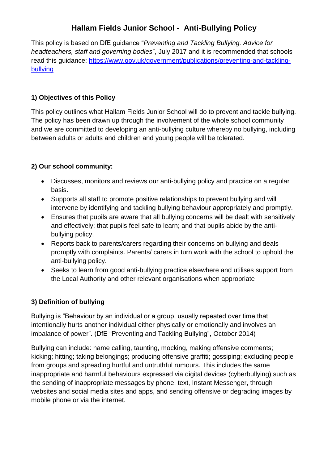# **Hallam Fields Junior School - Anti-Bullying Policy**

This policy is based on DfE guidance "*Preventing and Tackling Bullying. Advice for headteachers, staff and governing bodies*", July 2017 and it is recommended that schools read this guidance: [https://www.gov.uk/government/publications/preventing-and-tackling](https://www.gov.uk/government/publications/preventing-and-tackling-bullying)[bullying](https://www.gov.uk/government/publications/preventing-and-tackling-bullying)

## **1) Objectives of this Policy**

This policy outlines what Hallam Fields Junior School will do to prevent and tackle bullying. The policy has been drawn up through the involvement of the whole school community and we are committed to developing an anti-bullying culture whereby no bullying, including between adults or adults and children and young people will be tolerated.

## **2) Our school community:**

- Discusses, monitors and reviews our anti-bullying policy and practice on a regular basis.
- Supports all staff to promote positive relationships to prevent bullying and will intervene by identifying and tackling bullying behaviour appropriately and promptly.
- Ensures that pupils are aware that all bullying concerns will be dealt with sensitively and effectively; that pupils feel safe to learn; and that pupils abide by the antibullying policy.
- Reports back to parents/carers regarding their concerns on bullying and deals promptly with complaints. Parents/ carers in turn work with the school to uphold the anti-bullying policy.
- Seeks to learn from good anti-bullying practice elsewhere and utilises support from the Local Authority and other relevant organisations when appropriate

# **3) Definition of bullying**

Bullying is "Behaviour by an individual or a group, usually repeated over time that intentionally hurts another individual either physically or emotionally and involves an imbalance of power". (DfE "Preventing and Tackling Bullying", October 2014)

Bullying can include: name calling, taunting, mocking, making offensive comments; kicking; hitting; taking belongings; producing offensive graffiti; gossiping; excluding people from groups and spreading hurtful and untruthful rumours. This includes the same inappropriate and harmful behaviours expressed via digital devices (cyberbullying) such as the sending of inappropriate messages by phone, text, Instant Messenger, through websites and social media sites and apps, and sending offensive or degrading images by mobile phone or via the internet.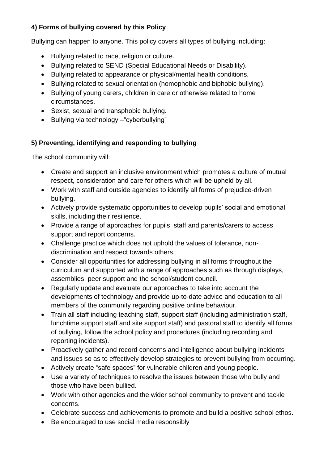# **4) Forms of bullying covered by this Policy**

Bullying can happen to anyone. This policy covers all types of bullying including:

- Bullying related to race, religion or culture.
- Bullying related to SEND (Special Educational Needs or Disability).
- Bullying related to appearance or physical/mental health conditions.
- Bullying related to sexual orientation (homophobic and biphobic bullying).
- Bullying of young carers, children in care or otherwise related to home circumstances.
- Sexist, sexual and transphobic bullying.
- Bullying via technology "cyberbullying"

# **5) Preventing, identifying and responding to bullying**

The school community will:

- Create and support an inclusive environment which promotes a culture of mutual respect, consideration and care for others which will be upheld by all.
- Work with staff and outside agencies to identify all forms of prejudice-driven bullying.
- Actively provide systematic opportunities to develop pupils' social and emotional skills, including their resilience.
- Provide a range of approaches for pupils, staff and parents/carers to access support and report concerns.
- Challenge practice which does not uphold the values of tolerance, nondiscrimination and respect towards others.
- Consider all opportunities for addressing bullying in all forms throughout the curriculum and supported with a range of approaches such as through displays, assemblies, peer support and the school/student council.
- Regularly update and evaluate our approaches to take into account the developments of technology and provide up-to-date advice and education to all members of the community regarding positive online behaviour.
- Train all staff including teaching staff, support staff (including administration staff, lunchtime support staff and site support staff) and pastoral staff to identify all forms of bullying, follow the school policy and procedures (including recording and reporting incidents).
- Proactively gather and record concerns and intelligence about bullying incidents and issues so as to effectively develop strategies to prevent bullying from occurring.
- Actively create "safe spaces" for vulnerable children and young people.
- Use a variety of techniques to resolve the issues between those who bully and those who have been bullied.
- Work with other agencies and the wider school community to prevent and tackle concerns.
- Celebrate success and achievements to promote and build a positive school ethos.
- Be encouraged to use social media responsibly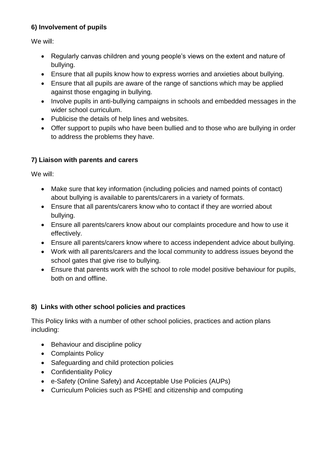## **6) Involvement of pupils**

We will:

- Regularly canvas children and young people's views on the extent and nature of bullying.
- Ensure that all pupils know how to express worries and anxieties about bullying.
- Ensure that all pupils are aware of the range of sanctions which may be applied against those engaging in bullying.
- Involve pupils in anti-bullying campaigns in schools and embedded messages in the wider school curriculum.
- Publicise the details of help lines and websites.
- Offer support to pupils who have been bullied and to those who are bullying in order to address the problems they have.

# **7) Liaison with parents and carers**

We will:

- Make sure that key information (including policies and named points of contact) about bullying is available to parents/carers in a variety of formats.
- Ensure that all parents/carers know who to contact if they are worried about bullying.
- Ensure all parents/carers know about our complaints procedure and how to use it effectively.
- Ensure all parents/carers know where to access independent advice about bullying.
- Work with all parents/carers and the local community to address issues beyond the school gates that give rise to bullying.
- Ensure that parents work with the school to role model positive behaviour for pupils, both on and offline.

# **8) Links with other school policies and practices**

This Policy links with a number of other school policies, practices and action plans including:

- Behaviour and discipline policy
- Complaints Policy
- Safeguarding and child protection policies
- Confidentiality Policy
- e-Safety (Online Safety) and Acceptable Use Policies (AUPs)
- Curriculum Policies such as PSHE and citizenship and computing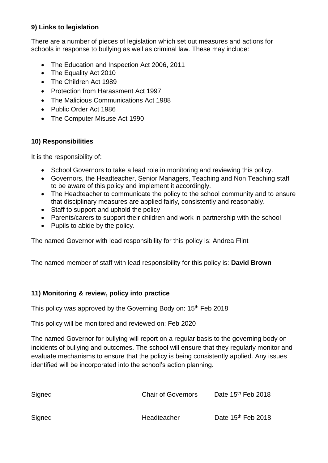#### **9) Links to legislation**

There are a number of pieces of legislation which set out measures and actions for schools in response to bullying as well as criminal law. These may include:

- The Education and Inspection Act 2006, 2011
- The Equality Act 2010
- The Children Act 1989
- Protection from Harassment Act 1997
- The Malicious Communications Act 1988
- Public Order Act 1986
- The Computer Misuse Act 1990

#### **10) Responsibilities**

It is the responsibility of:

- School Governors to take a lead role in monitoring and reviewing this policy.
- Governors, the Headteacher, Senior Managers, Teaching and Non Teaching staff to be aware of this policy and implement it accordingly.
- The Headteacher to communicate the policy to the school community and to ensure that disciplinary measures are applied fairly, consistently and reasonably.
- Staff to support and uphold the policy
- Parents/carers to support their children and work in partnership with the school
- Pupils to abide by the policy.

The named Governor with lead responsibility for this policy is: Andrea Flint

The named member of staff with lead responsibility for this policy is: **David Brown**

#### **11) Monitoring & review, policy into practice**

This policy was approved by the Governing Body on: 15<sup>th</sup> Feb 2018

This policy will be monitored and reviewed on: Feb 2020

The named Governor for bullying will report on a regular basis to the governing body on incidents of bullying and outcomes. The school will ensure that they regularly monitor and evaluate mechanisms to ensure that the policy is being consistently applied. Any issues identified will be incorporated into the school's action planning.

| Signed | <b>Chair of Governors</b> | Date $15th$ Feb 2018           |
|--------|---------------------------|--------------------------------|
| Signed | Headteacher               | Date 15 <sup>th</sup> Feb 2018 |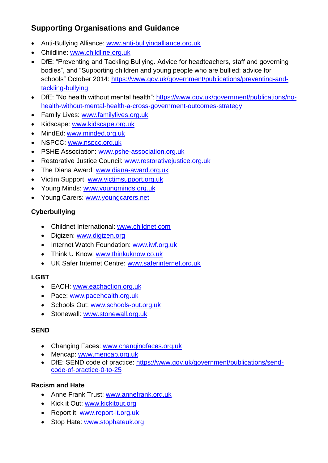# **Supporting Organisations and Guidance**

- Anti-Bullying Alliance: [www.anti-bullyingalliance.org.uk](http://www.anti-bullyingalliance.org.uk/)
- Childline: [www.childline.org.uk](http://www.childline.org.uk/)
- DfE: "Preventing and Tackling Bullying. Advice for headteachers, staff and governing bodies", and ["Supporting children and young people who are bullied: advice for](https://www.gov.uk/government/uploads/system/uploads/attachment_data/file/292505/supporting_bullied_children_advice.pdf)  [schools"](https://www.gov.uk/government/uploads/system/uploads/attachment_data/file/292505/supporting_bullied_children_advice.pdf) October 2014: [https://www.gov.uk/government/publications/preventing-and](https://www.gov.uk/government/publications/preventing-and-tackling-bullying)[tackling-bullying](https://www.gov.uk/government/publications/preventing-and-tackling-bullying)
- DfE: "No health without mental health": [https://www.gov.uk/government/publications/no](https://www.gov.uk/government/publications/no-health-without-mental-health-a-cross-government-outcomes-strategy)[health-without-mental-health-a-cross-government-outcomes-strategy](https://www.gov.uk/government/publications/no-health-without-mental-health-a-cross-government-outcomes-strategy)
- Family Lives: [www.familylives.org.uk](http://www.familylives.org.uk/)
- Kidscape: [www.kidscape.org.uk](http://www.kidscape.org.uk/)
- MindEd: [www.minded.org.uk](http://www.minded.org.uk/)
- NSPCC: [www.nspcc.org.uk](http://www.nspcc.org.uk/)
- PSHE Association: [www.pshe-association.org.uk](http://www.pshe-association.org.uk/)
- Restorative Justice Council: [www.restorativejustice.org.uk](http://www.restorativejustice.org.uk/)
- The Diana Award: [www.diana-award.org.uk](http://www.diana-award.org.uk/)
- Victim Support: [www.victimsupport.org.uk](http://www.victimsupport.org.uk/)
- Young Minds: [www.youngminds.org.uk](http://www.youngminds.org.uk/)
- Young Carers: [www.youngcarers.net](http://www.youngcarers.net/)

# **Cyberbullying**

- Childnet International: [www.childnet.com](http://www.childnet.com/)
- Digizen: [www.digizen.org](http://www.digizen.org/)
- Internet Watch Foundation: [www.iwf.org.uk](http://www.iwf.org.uk/)
- Think U Know: [www.thinkuknow.co.uk](http://www.thinkuknow.co.uk/)
- UK Safer Internet Centre: [www.saferinternet.org.uk](http://www.saferinternet.org.uk/)

# **LGBT**

- EACH: [www.eachaction.org.uk](http://www.eachaction.org.uk/)
- Pace: [www.pacehealth.org.uk](http://www.pacehealth.org.uk/)
- Schools Out: [www.schools-out.org.uk](http://www.schools-out.org.uk/)
- Stonewall: [www.stonewall.org.uk](http://www.stonewall.org.uk/)

## **SEND**

- Changing Faces: [www.changingfaces.org.uk](http://www.changingfaces.org.uk/)
- Mencap: [www.mencap.org.uk](http://www.mencap.org.uk/)
- DfE: SEND code of practice: [https://www.gov.uk/government/publications/send](https://www.gov.uk/government/publications/send-code-of-practice-0-to-25)[code-of-practice-0-to-25](https://www.gov.uk/government/publications/send-code-of-practice-0-to-25)

## **Racism and Hate**

- Anne Frank Trust: [www.annefrank.org.uk](http://www.annefrank.org.uk/)
- Kick it Out: [www.kickitout.org](http://www.kickitout.org/)
- Report it: [www.report-it.org.uk](http://www.report-it.org.uk/)
- Stop Hate: [www.stophateuk.org](http://www.stophateuk.org/)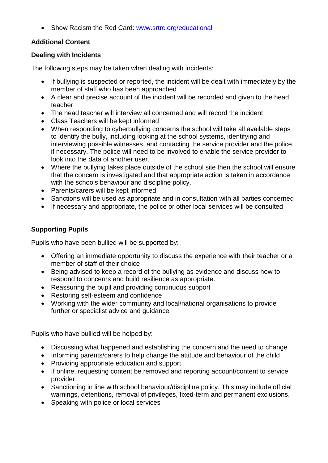• Show Racism the Red Card: [www.srtrc.org/educational](http://www.srtrc.org/educational)

## **Additional Content**

#### **Dealing with Incidents**

The following steps may be taken when dealing with incidents:

- If bullying is suspected or reported, the incident will be dealt with immediately by the member of staff who has been approached
- A clear and precise account of the incident will be recorded and given to the head teacher
- The head teacher will interview all concerned and will record the incident
- Class Teachers will be kept informed
- When responding to cyberbullying concerns the school will take all available steps to identify the bully, including looking at the school systems, identifying and interviewing possible witnesses, and contacting the service provider and the police, if necessary. The police will need to be involved to enable the service provider to look into the data of another user.
- Where the bullying takes place outside of the school site then the school will ensure that the concern is investigated and that appropriate action is taken in accordance with the schools behaviour and discipline policy.
- Parents/carers will be kept informed
- Sanctions will be used as appropriate and in consultation with all parties concerned
- If necessary and appropriate, the police or other local services will be consulted

## **Supporting Pupils**

Pupils who have been bullied will be supported by:

- Offering an immediate opportunity to discuss the experience with their teacher or a member of staff of their choice
- Being advised to keep a record of the bullying as evidence and discuss how to respond to concerns and build resilience as appropriate.
- Reassuring the pupil and providing continuous support
- Restoring self-esteem and confidence
- Working with the wider community and local/national organisations to provide further or specialist advice and guidance

Pupils who have bullied will be helped by:

- Discussing what happened and establishing the concern and the need to change
- Informing parents/carers to help change the attitude and behaviour of the child
- Providing appropriate education and support
- If online, requesting content be removed and reporting account/content to service provider
- Sanctioning in line with school behaviour/discipline policy. This may include official warnings, detentions, removal of privileges, fixed-term and permanent exclusions.
- Speaking with police or local services